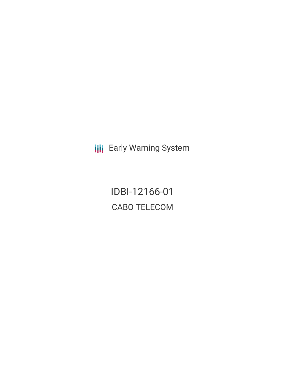**III** Early Warning System

IDBI-12166-01 CABO TELECOM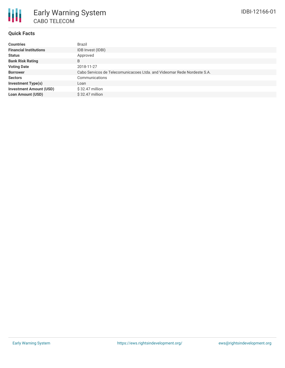

### **Quick Facts**

| <b>Countries</b>               | Brazil                                                                  |
|--------------------------------|-------------------------------------------------------------------------|
| <b>Financial Institutions</b>  | IDB Invest (IDBI)                                                       |
| <b>Status</b>                  | Approved                                                                |
| <b>Bank Risk Rating</b>        | B                                                                       |
| <b>Voting Date</b>             | 2018-11-27                                                              |
| <b>Borrower</b>                | Cabo Servicos de Telecomunicacoes Ltda. and Videomar Rede Nordeste S.A. |
| <b>Sectors</b>                 | Communications                                                          |
| <b>Investment Type(s)</b>      | Loan                                                                    |
| <b>Investment Amount (USD)</b> | $$32.47$ million                                                        |
| <b>Loan Amount (USD)</b>       | $$32.47$ million                                                        |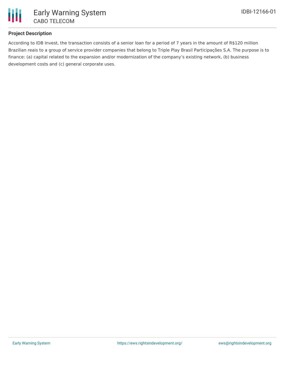

# **Project Description**

According to IDB Invest, the transaction consists of a senior loan for a period of 7 years in the amount of R\$120 million Brazilian reais to a group of service provider companies that belong to Triple Play Brasil Participações S.A. The purpose is to finance: (a) capital related to the expansion and/or modernization of the company's existing network, (b) business development costs and (c) general corporate uses.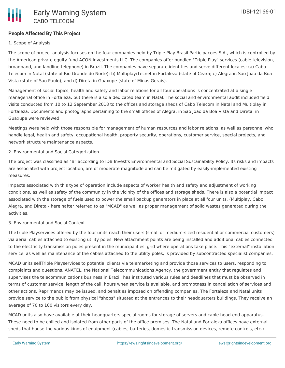

# **People Affected By This Project**

## 1. Scope of Analysis

The scope of project analysis focuses on the four companies held by Triple Play Brasil Participacoes S.A., which is controlled by the American private equity fund ACON Investments LLC. The companies offer bundled "Triple Play" services (cable television, broadband, and landline telephone) in Brazil. The companies have separate identities and serve different locales: (a) Cabo Telecom in Natal (state of Rio Grande do Norte); b) Multiplay/Tecnet in Fortaleza (state of Ceara; c) Alegra in Sao Joao da Boa Vista (state of Sao Paulo); and d) Direta in Guaxupe (state of Minas Gerais).

Management of social topics, health and safety and labor relations for all four operations is concentrated at a single managerial office in Fortaleza, but there is also a dedicated team in Natal. The social and environmental audit included field visits conducted from 10 to 12 September 2018 to the offices and storage sheds of Cabo Telecom in Natal and Multiplay in Fortaleza. Documents and photographs pertaining to the small offices of Alegra, in Sao Joao da Boa Vista and Direta, in Guaxupe were reviewed.

Meetings were held with those responsible for management of human resources and labor relations, as well as personnel who handle legal, health and safety, occupational health, property security, operations, customer service, special projects, and network structure maintenance aspects.

2. Environmental and Social Categorization

The project was classified as "B" according to IDB Invest's Environmental and Social Sustainability Policy. Its risks and impacts are associated with project location, are of moderate magnitude and can be mitigated by easily-implemented existing measures.

Impacts associated with this type of operation include aspects of worker health and safety and adjustment of working conditions, as well as safety of the community in the vicinity of the offices and storage sheds. There is also a potential impact associated with the storage of fuels used to power the small backup generators in place at all four units. (Multiplay, Cabo, Alegra, and Direta - hereinafter referred to as "MCAD" as well as proper management of solid wastes generated during the activities.

### 3. Environmental and Social Context

TheTriple Playservices offered by the four units reach their users (small or medium-sized residential or commercial customers) via aerial cables attached to existing utility poles. New attachment points are being installed and additional cables connected to the electricity transmission poles present in the municipalities' grid where operations take place. This "external" installation service, as well as maintenance of the cables attached to the utility poles, is provided by subcontracted specialist companies.

MCAD units sellTriple Playservices to potential clients via telemarketing and provide those services to users, responding to complaints and questions. ANATEL, the National Telecommunications Agency, the government entity that regulates and supervises the telecommunications business in Brazil, has instituted various rules and deadlines that must be observed in terms of customer service, length of the call, hours when service is available, and promptness in cancellation of services and other actions. Reprimands may be issued, and penalties imposed on offending companies. The Fortaleza and Natal units provide service to the public from physical "shops" situated at the entrances to their headquarters buildings. They receive an average of 70 to 100 visitors every day.

MCAD units also have available at their headquarters special rooms for storage of servers and cable head-end apparatus. These need to be chilled and isolated from other parts of the office premises. The Natal and Fortaleza offices have external sheds that house the various kinds of equipment (cables, batteries, domestic transmission devices, remote controls, etc.)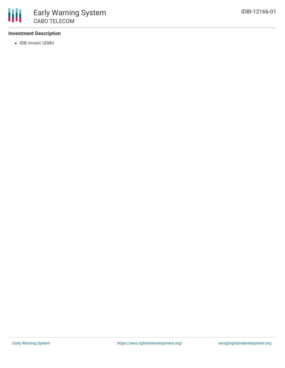

### **Investment Description**

• IDB Invest (IDBI)